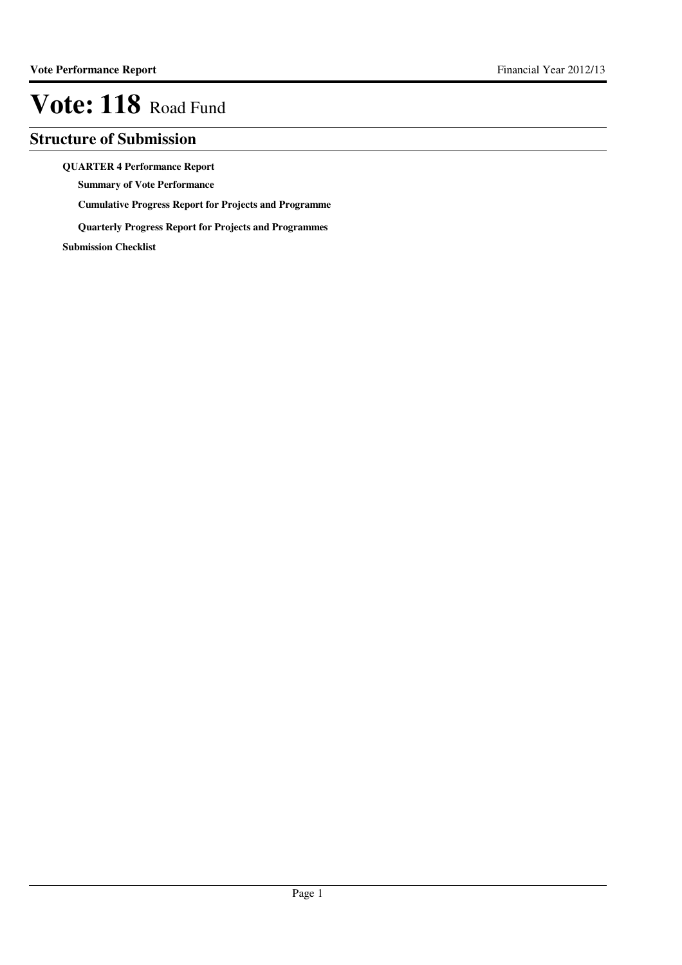## **Structure of Submission**

**QUARTER 4 Performance Report**

**Summary of Vote Performance**

**Cumulative Progress Report for Projects and Programme**

**Quarterly Progress Report for Projects and Programmes**

**Submission Checklist**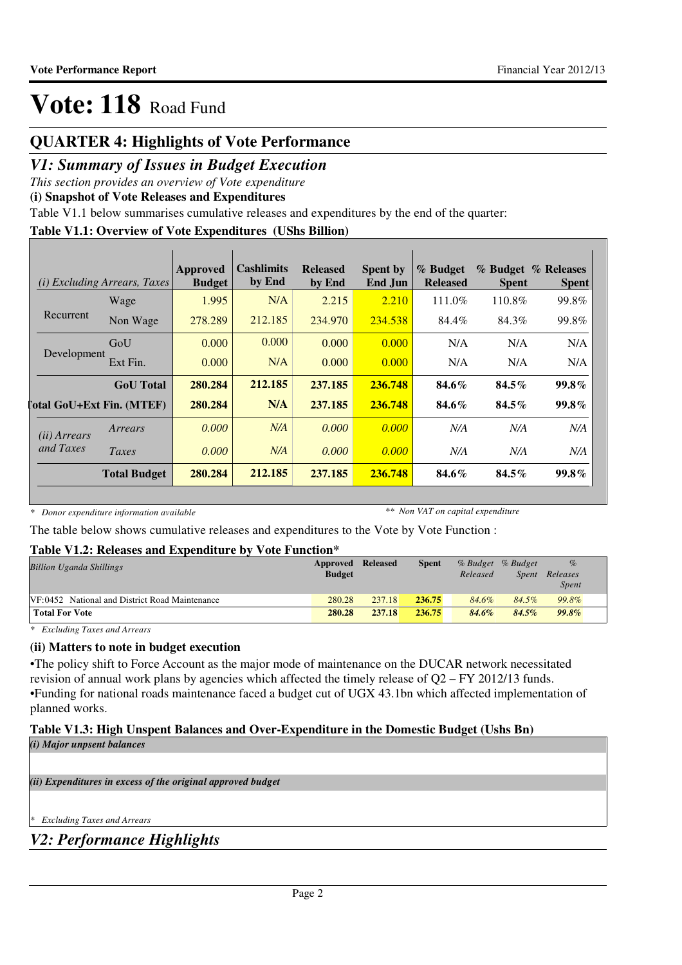## **QUARTER 4: Highlights of Vote Performance**

## *V1: Summary of Issues in Budget Execution*

*This section provides an overview of Vote expenditure*

**(i) Snapshot of Vote Releases and Expenditures**

Table V1.1 below summarises cumulative releases and expenditures by the end of the quarter:

### **Table V1.1: Overview of Vote Expenditures (UShs Billion)**

|                       | <i>(i)</i> Excluding Arrears, Taxes | <b>Approved</b><br><b>Budget</b> | Cashlimits<br>by End | <b>Released</b><br>by End | <b>Spent by</b><br>End Jun | % Budget<br><b>Released</b> | <b>Spent</b> | % Budget % Releases<br><b>Spent</b> |
|-----------------------|-------------------------------------|----------------------------------|----------------------|---------------------------|----------------------------|-----------------------------|--------------|-------------------------------------|
|                       | Wage                                | 1.995                            | N/A                  | 2.215                     | 2.210                      | 111.0%                      | 110.8%       | 99.8%                               |
| Recurrent             | Non Wage                            | 278.289                          | 212.185              | 234.970                   | 234.538                    | 84.4%                       | 84.3%        | 99.8%                               |
|                       | GoU                                 | 0.000                            | 0.000                | 0.000                     | 0.000                      | N/A                         | N/A          | N/A                                 |
| Development           | Ext Fin.                            | 0.000                            | N/A                  | 0.000                     | 0.000                      | N/A                         | N/A          | N/A                                 |
|                       | <b>GoU</b> Total                    | 280.284                          | 212.185              | 237.185                   | 236.748                    | 84.6%                       | $84.5\%$     | $99.8\%$                            |
|                       | <b>Total GoU+Ext Fin. (MTEF)</b>    | 280.284                          | N/A                  | 237.185                   | 236.748                    | 84.6%                       | $84.5\%$     | $99.8\%$                            |
| ( <i>ii</i> ) Arrears | Arrears                             | 0.000                            | N/A                  | 0.000                     | 0.000                      | N/A                         | N/A          | N/A                                 |
| and Taxes             | Taxes                               | 0.000                            | N/A                  | 0.000                     | 0.000                      | N/A                         | N/A          | N/A                                 |
|                       | <b>Total Budget</b>                 | 280.284                          | 212.185              | 237.185                   | 236.748                    | 84.6%                       | $84.5\%$     | 99.8%                               |

*\* Donor expenditure information available*

*\*\* Non VAT on capital expenditure*

The table below shows cumulative releases and expenditures to the Vote by Vote Function :

### **Table V1.2: Releases and Expenditure by Vote Function\***

| <b>Billion Uganda Shillings</b>                | Approved Released |        | <b>Spent</b> | % Budget % Budget |              | $\%$         |  |
|------------------------------------------------|-------------------|--------|--------------|-------------------|--------------|--------------|--|
|                                                | <b>Budget</b>     |        |              | Released          | <i>Spent</i> | Releases     |  |
|                                                |                   |        |              |                   |              | <b>Spent</b> |  |
| VF:0452 National and District Road Maintenance | 280.28            | 237.18 | 236.75       | 84.6%             | 84.5%        | 99.8%        |  |
| <b>Total For Vote</b>                          | 280.28            | 237.18 | 236.75       | 84.6%             | $84.5\%$     | $99.8\%$     |  |

*\* Excluding Taxes and Arrears*

### **(ii) Matters to note in budget execution**

•The policy shift to Force Account as the major mode of maintenance on the DUCAR network necessitated revision of annual work plans by agencies which affected the timely release of Q2 – FY 2012/13 funds. •Funding for national roads maintenance faced a budget cut of UGX 43.1bn which affected implementation of planned works.

### **Table V1.3: High Unspent Balances and Over-Expenditure in the Domestic Budget (Ushs Bn)**

*(i) Major unpsent balances*

*(ii) Expenditures in excess of the original approved budget*

*\* Excluding Taxes and Arrears*

*V2: Performance Highlights*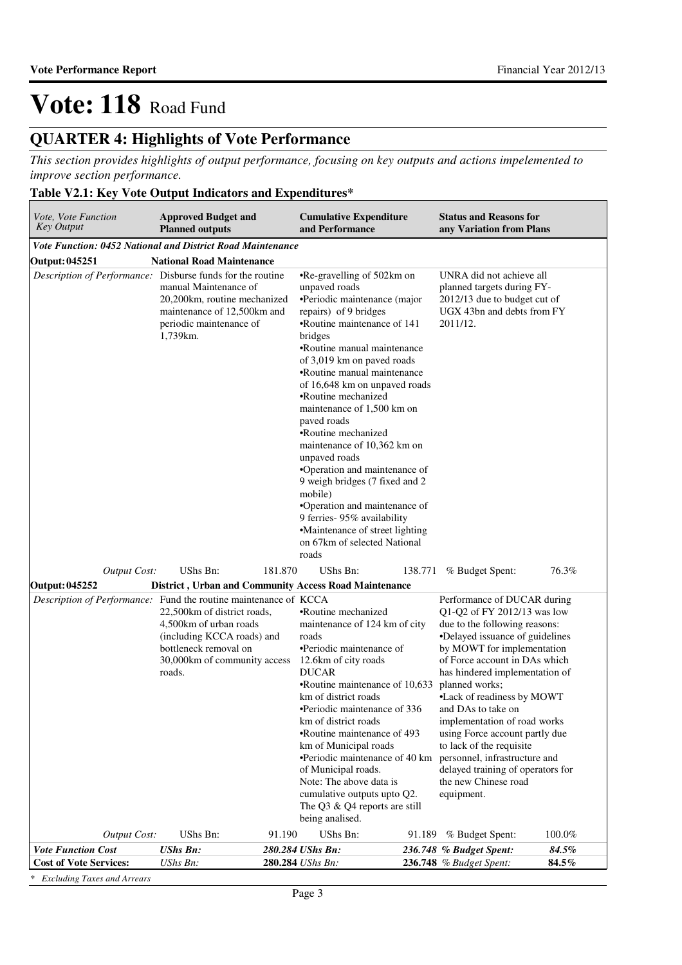# **QUARTER 4: Highlights of Vote Performance**

*This section provides highlights of output performance, focusing on key outputs and actions impelemented to improve section performance.*

### **Table V2.1: Key Vote Output Indicators and Expenditures\***

| <i>Vote, Vote Function</i><br><b>Key Output</b>                  | <b>Approved Budget and</b><br><b>Planned outputs</b>                                                                                                    |         | <b>Cumulative Expenditure</b><br>and Performance                                                                                                                                                                                                                                                                                                                                                                                                                                                                                                                                                                                                 |         | <b>Status and Reasons for</b><br>any Variation from Plans                                                                        |                |                                                                                                                                                                                                                                                                                                                                                                                                                                                                                                                 |  |
|------------------------------------------------------------------|---------------------------------------------------------------------------------------------------------------------------------------------------------|---------|--------------------------------------------------------------------------------------------------------------------------------------------------------------------------------------------------------------------------------------------------------------------------------------------------------------------------------------------------------------------------------------------------------------------------------------------------------------------------------------------------------------------------------------------------------------------------------------------------------------------------------------------------|---------|----------------------------------------------------------------------------------------------------------------------------------|----------------|-----------------------------------------------------------------------------------------------------------------------------------------------------------------------------------------------------------------------------------------------------------------------------------------------------------------------------------------------------------------------------------------------------------------------------------------------------------------------------------------------------------------|--|
| Vote Function: 0452 National and District Road Maintenance       |                                                                                                                                                         |         |                                                                                                                                                                                                                                                                                                                                                                                                                                                                                                                                                                                                                                                  |         |                                                                                                                                  |                |                                                                                                                                                                                                                                                                                                                                                                                                                                                                                                                 |  |
| <b>Output: 045251</b>                                            | <b>National Road Maintenance</b>                                                                                                                        |         |                                                                                                                                                                                                                                                                                                                                                                                                                                                                                                                                                                                                                                                  |         |                                                                                                                                  |                |                                                                                                                                                                                                                                                                                                                                                                                                                                                                                                                 |  |
| Description of Performance: Disburse funds for the routine       | manual Maintenance of<br>20,200km, routine mechanized<br>maintenance of 12,500km and<br>periodic maintenance of<br>1,739km.                             |         | •Re-gravelling of 502km on<br>unpaved roads<br>•Periodic maintenance (major<br>repairs) of 9 bridges<br>•Routine maintenance of 141<br>bridges<br>•Routine manual maintenance<br>of 3,019 km on paved roads<br>•Routine manual maintenance<br>of 16,648 km on unpaved roads<br>•Routine mechanized<br>maintenance of 1,500 km on<br>paved roads<br>•Routine mechanized<br>maintenance of 10,362 km on<br>unpaved roads<br>•Operation and maintenance of<br>9 weigh bridges (7 fixed and 2<br>mobile)<br>•Operation and maintenance of<br>9 ferries- 95% availability<br>•Maintenance of street lighting<br>on 67km of selected National<br>roads |         | UNRA did not achieve all<br>planned targets during FY-<br>2012/13 due to budget cut of<br>UGX 43bn and debts from FY<br>2011/12. |                |                                                                                                                                                                                                                                                                                                                                                                                                                                                                                                                 |  |
| <b>Output Cost:</b>                                              | UShs Bn:                                                                                                                                                | 181.870 | UShs Bn:                                                                                                                                                                                                                                                                                                                                                                                                                                                                                                                                                                                                                                         | 138.771 | % Budget Spent:                                                                                                                  | 76.3%          |                                                                                                                                                                                                                                                                                                                                                                                                                                                                                                                 |  |
| Output: 045252                                                   |                                                                                                                                                         |         |                                                                                                                                                                                                                                                                                                                                                                                                                                                                                                                                                                                                                                                  |         |                                                                                                                                  |                |                                                                                                                                                                                                                                                                                                                                                                                                                                                                                                                 |  |
| Description of Performance: Fund the routine maintenance of KCCA | 22,500km of district roads,<br>4,500 km of urban roads<br>(including KCCA roads) and<br>bottleneck removal on<br>30,000km of community access<br>roads. |         | District, Urban and Community Access Road Maintenance<br>•Routine mechanized<br>maintenance of 124 km of city<br>roads<br>•Periodic maintenance of<br>12.6km of city roads<br><b>DUCAR</b><br>•Routine maintenance of 10,633<br>km of district roads<br>•Periodic maintenance of 336<br>km of district roads<br>•Routine maintenance of 493<br>km of Municipal roads<br>•Periodic maintenance of 40 km<br>of Municipal roads.<br>Note: The above data is<br>cumulative outputs upto Q2.<br>The Q3 & Q4 reports are still<br>being analised.                                                                                                      |         |                                                                                                                                  |                | Performance of DUCAR during<br>Q1-Q2 of FY 2012/13 was low<br>due to the following reasons:<br>•Delayed issuance of guidelines<br>by MOWT for implementation<br>of Force account in DAs which<br>has hindered implementation of<br>planned works;<br>•Lack of readiness by MOWT<br>and DAs to take on<br>implementation of road works<br>using Force account partly due<br>to lack of the requisite<br>personnel, infrastructure and<br>delayed training of operators for<br>the new Chinese road<br>equipment. |  |
| <b>Output Cost:</b>                                              | UShs Bn:                                                                                                                                                | 91.190  | UShs Bn:                                                                                                                                                                                                                                                                                                                                                                                                                                                                                                                                                                                                                                         | 91.189  | % Budget Spent:                                                                                                                  | 100.0%         |                                                                                                                                                                                                                                                                                                                                                                                                                                                                                                                 |  |
| <b>Vote Function Cost</b><br><b>Cost of Vote Services:</b>       | <b>UShs Bn:</b><br>UShs Bn:                                                                                                                             |         | 280.284 UShs Bn:<br>280.284 UShs Bn:                                                                                                                                                                                                                                                                                                                                                                                                                                                                                                                                                                                                             |         | 236.748 % Budget Spent:<br>236.748 % Budget Spent:                                                                               | 84.5%<br>84.5% |                                                                                                                                                                                                                                                                                                                                                                                                                                                                                                                 |  |
|                                                                  |                                                                                                                                                         |         |                                                                                                                                                                                                                                                                                                                                                                                                                                                                                                                                                                                                                                                  |         |                                                                                                                                  |                |                                                                                                                                                                                                                                                                                                                                                                                                                                                                                                                 |  |

*\* Excluding Taxes and Arrears*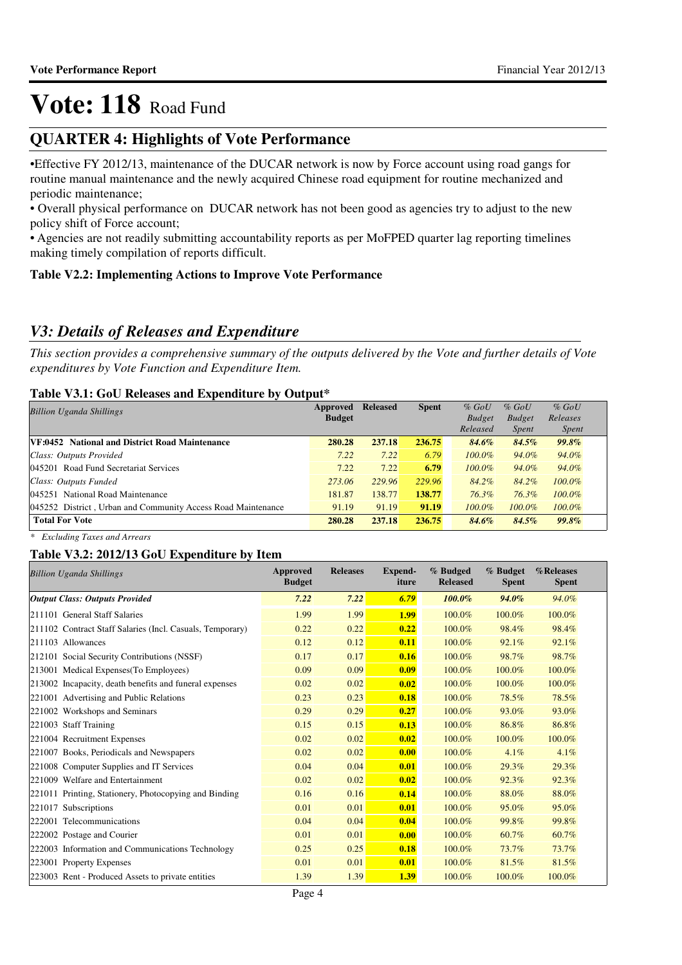## **QUARTER 4: Highlights of Vote Performance**

•Effective FY 2012/13, maintenance of the DUCAR network is now by Force account using road gangs for routine manual maintenance and the newly acquired Chinese road equipment for routine mechanized and periodic maintenance;

• Overall physical performance on DUCAR network has not been good as agencies try to adjust to the new policy shift of Force account;

• Agencies are not readily submitting accountability reports as per MoFPED quarter lag reporting timelines making timely compilation of reports difficult.

### **Table V2.2: Implementing Actions to Improve Vote Performance**

## *V3: Details of Releases and Expenditure*

*This section provides a comprehensive summary of the outputs delivered by the Vote and further details of Vote expenditures by Vote Function and Expenditure Item.*

### **Table V3.1: GoU Releases and Expenditure by Output\***

| <b>Billion Uganda Shillings</b>                              | Approved      | <b>Released</b> | <b>Spent</b> | $%$ GoU       | $%$ GoU       | $%$ GoU      |  |  |  |
|--------------------------------------------------------------|---------------|-----------------|--------------|---------------|---------------|--------------|--|--|--|
|                                                              | <b>Budget</b> |                 |              | <b>Budget</b> | <b>Budget</b> | Releases     |  |  |  |
|                                                              |               |                 |              | Released      | <i>Spent</i>  | <i>Spent</i> |  |  |  |
| VF:0452 National and District Road Maintenance               | 280.28        | 237.18          | 236.75       | 84.6%         | 84.5%         | 99.8%        |  |  |  |
| Class: Outputs Provided                                      | 7.22          | 7.22            | 6.79         | $100.0\%$     | 94.0%         | 94.0%        |  |  |  |
| 045201 Road Fund Secretariat Services                        | 7.22          | 7.22            | 6.79         | $100.0\%$     | 94.0%         | 94.0%        |  |  |  |
| Class: Outputs Funded                                        | 273.06        | 229.96          | 229.96       | 84.2%         | 84.2%         | $100.0\%$    |  |  |  |
| 045251 National Road Maintenance                             | 181.87        | 138.77          | 138.77       | 76.3%         | 76.3%         | $100.0\%$    |  |  |  |
| 045252 District, Urban and Community Access Road Maintenance | 91.19         | 91.19           | 91.19        | $100.0\%$     | $100.0\%$     | $100.0\%$    |  |  |  |
| <b>Total For Vote</b>                                        | 280.28        | 237.18          | 236.75       | 84.6%         | 84.5%         | 99.8%        |  |  |  |

*\* Excluding Taxes and Arrears*

### **Table V3.2: 2012/13 GoU Expenditure by Item**

| <b>Billion Uganda Shillings</b>                           | Approved<br><b>Budget</b> | <b>Releases</b> | <b>Expend-</b><br>iture | % Budged<br><b>Released</b> | % Budget<br><b>Spent</b> | %Releases<br><b>Spent</b> |
|-----------------------------------------------------------|---------------------------|-----------------|-------------------------|-----------------------------|--------------------------|---------------------------|
| <b>Output Class: Outputs Provided</b>                     | 7.22                      | 7.22            | 6.79                    | 100.0%                      | 94.0%                    | 94.0%                     |
| 211101 General Staff Salaries                             | 1.99                      | 1.99            | <b>1.99</b>             | 100.0%                      | 100.0%                   | 100.0%                    |
| 211102 Contract Staff Salaries (Incl. Casuals, Temporary) | 0.22                      | 0.22            | 0.22                    | 100.0%                      | 98.4%                    | 98.4%                     |
| 211103 Allowances                                         | 0.12                      | 0.12            | 0.11                    | 100.0%                      | 92.1%                    | 92.1%                     |
| 212101 Social Security Contributions (NSSF)               | 0.17                      | 0.17            | 0.16                    | 100.0%                      | 98.7%                    | 98.7%                     |
| 213001 Medical Expenses(To Employees)                     | 0.09                      | 0.09            | 0.09                    | 100.0%                      | 100.0%                   | 100.0%                    |
| 213002 Incapacity, death benefits and funeral expenses    | 0.02                      | 0.02            | 0.02                    | 100.0%                      | 100.0%                   | 100.0%                    |
| 221001 Advertising and Public Relations                   | 0.23                      | 0.23            | 0.18                    | 100.0%                      | 78.5%                    | 78.5%                     |
| 221002 Workshops and Seminars                             | 0.29                      | 0.29            | 0.27                    | 100.0%                      | 93.0%                    | 93.0%                     |
| 221003 Staff Training                                     | 0.15                      | 0.15            | 0.13                    | 100.0%                      | 86.8%                    | 86.8%                     |
| 221004 Recruitment Expenses                               | 0.02                      | 0.02            | 0.02                    | 100.0%                      | 100.0%                   | 100.0%                    |
| 221007 Books, Periodicals and Newspapers                  | 0.02                      | 0.02            | 0.00                    | 100.0%                      | 4.1%                     | 4.1%                      |
| 221008 Computer Supplies and IT Services                  | 0.04                      | 0.04            | 0.01                    | 100.0%                      | 29.3%                    | 29.3%                     |
| 221009 Welfare and Entertainment                          | 0.02                      | 0.02            | 0.02                    | 100.0%                      | 92.3%                    | 92.3%                     |
| 221011 Printing, Stationery, Photocopying and Binding     | 0.16                      | 0.16            | 0.14                    | 100.0%                      | 88.0%                    | 88.0%                     |
| 221017 Subscriptions                                      | 0.01                      | 0.01            | 0.01                    | 100.0%                      | 95.0%                    | 95.0%                     |
| 222001 Telecommunications                                 | 0.04                      | 0.04            | 0.04                    | 100.0%                      | 99.8%                    | 99.8%                     |
| 222002 Postage and Courier                                | 0.01                      | 0.01            | 0.00                    | 100.0%                      | 60.7%                    | 60.7%                     |
| 222003 Information and Communications Technology          | 0.25                      | 0.25            | 0.18                    | 100.0%                      | 73.7%                    | 73.7%                     |
| 223001 Property Expenses                                  | 0.01                      | 0.01            | 0.01                    | 100.0%                      | 81.5%                    | 81.5%                     |
| 223003 Rent - Produced Assets to private entities         | 1.39                      | 1.39            | 1.39                    | 100.0%                      | 100.0%                   | 100.0%                    |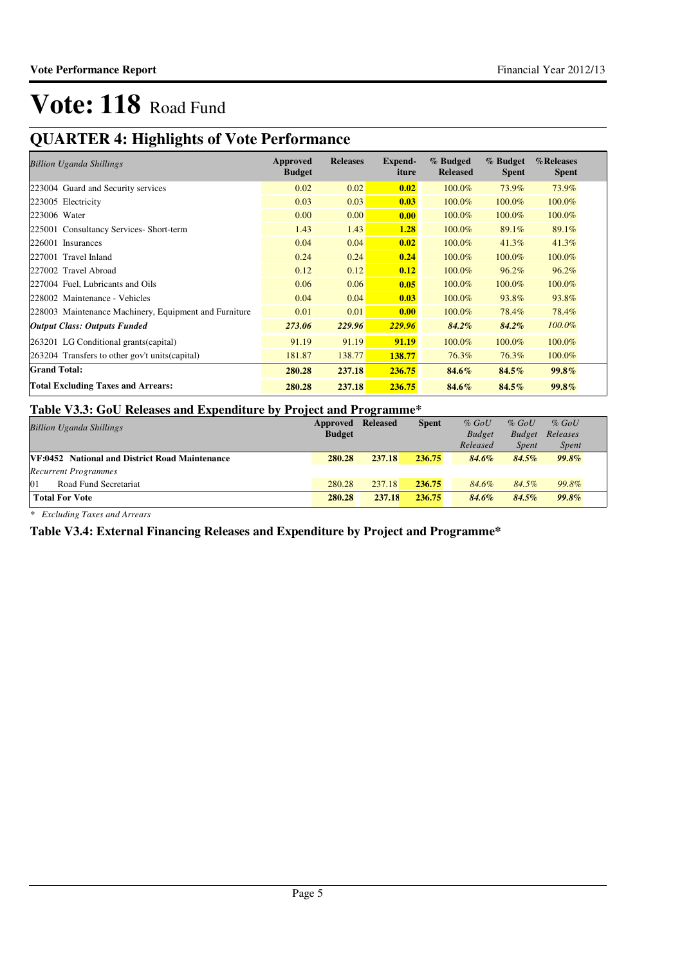# **QUARTER 4: Highlights of Vote Performance**

| <b>Billion Uganda Shillings</b>                       | Approved<br><b>Budget</b> | <b>Releases</b> | Expend-<br>iture | % Budged<br><b>Released</b> | % Budget<br><b>Spent</b> | %Releases<br><b>Spent</b> |
|-------------------------------------------------------|---------------------------|-----------------|------------------|-----------------------------|--------------------------|---------------------------|
| 223004 Guard and Security services                    | 0.02                      | 0.02            | 0.02             | 100.0%                      | 73.9%                    | 73.9%                     |
| 223005 Electricity                                    | 0.03                      | 0.03            | 0.03             | 100.0%                      | 100.0%                   | 100.0%                    |
| 223006 Water                                          | 0.00                      | 0.00            | 0.00             | 100.0%                      | 100.0%                   | 100.0%                    |
| 225001 Consultancy Services- Short-term               | 1.43                      | 1.43            | 1.28             | 100.0%                      | 89.1%                    | 89.1%                     |
| 226001 Insurances                                     | 0.04                      | 0.04            | 0.02             | 100.0%                      | 41.3%                    | 41.3%                     |
| 227001 Travel Inland                                  | 0.24                      | 0.24            | 0.24             | 100.0%                      | 100.0%                   | 100.0%                    |
| 227002 Travel Abroad                                  | 0.12                      | 0.12            | 0.12             | 100.0%                      | 96.2%                    | 96.2%                     |
| 227004 Fuel, Lubricants and Oils                      | 0.06                      | 0.06            | 0.05             | 100.0%                      | 100.0%                   | 100.0%                    |
| 228002 Maintenance - Vehicles                         | 0.04                      | 0.04            | 0.03             | 100.0%                      | 93.8%                    | 93.8%                     |
| 228003 Maintenance Machinery, Equipment and Furniture | 0.01                      | 0.01            | 0.00             | 100.0%                      | 78.4%                    | 78.4%                     |
| <b>Output Class: Outputs Funded</b>                   | 273.06                    | 229.96          | 229.96           | $84.2\%$                    | 84.2%                    | $100.0\%$                 |
| 263201 LG Conditional grants (capital)                | 91.19                     | 91.19           | 91.19            | 100.0%                      | 100.0%                   | 100.0%                    |
| 263204 Transfers to other gov't units (capital)       | 181.87                    | 138.77          | 138.77           | 76.3%                       | 76.3%                    | 100.0%                    |
| <b>Grand Total:</b>                                   | 280.28                    | 237.18          | 236.75           | 84.6%                       | 84.5%                    | 99.8%                     |
| <b>Total Excluding Taxes and Arrears:</b>             | 280.28                    | 237.18          | 236.75           | 84.6%                       | 84.5%                    | 99.8%                     |

### **Table V3.3: GoU Releases and Expenditure by Project and Programme\***

| <b>Billion Uganda Shillings</b>                       | Approved      | <b>Released</b> | <b>Spent</b> | $%$ GoU       | $%$ GoU       | $%$ GoU      |  |
|-------------------------------------------------------|---------------|-----------------|--------------|---------------|---------------|--------------|--|
|                                                       | <b>Budget</b> |                 |              | <b>Budget</b> | <b>Budget</b> | Releases     |  |
|                                                       |               |                 |              | Released      | <i>Spent</i>  | <i>Spent</i> |  |
| <b>VF:0452</b> National and District Road Maintenance | 280.28        | 237.18          | 236.75       | 84.6%         | 84.5%         | $99.8\%$     |  |
| <b>Recurrent Programmes</b>                           |               |                 |              |               |               |              |  |
| 01<br>Road Fund Secretariat                           | 280.28        | 237.18          | 236.75       | 84.6%         | 84.5%         | 99.8%        |  |
| <b>Total For Vote</b>                                 | 280.28        | 237.18          | 236.75       | 84.6%         | 84.5%         | $99.8\%$     |  |

*\* Excluding Taxes and Arrears*

### **Table V3.4: External Financing Releases and Expenditure by Project and Programme\***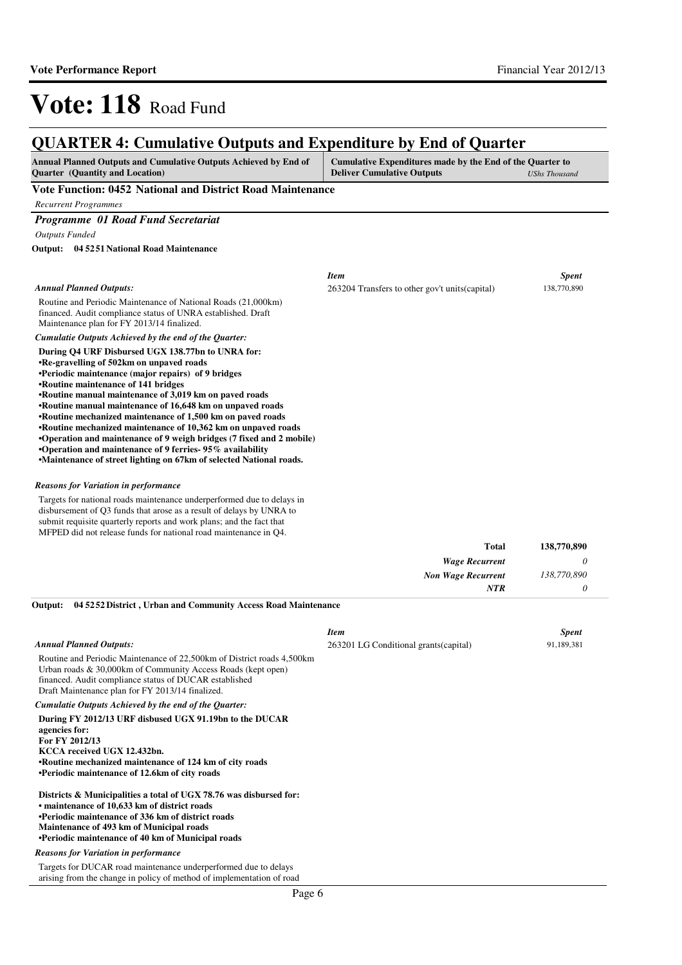#### **QUARTER 4: Cumulative Outputs and Expenditure by End of Quarter Annual Planned Outputs and Cumulative Outputs Achieved by End of Quarter (Quantity and Location) Cumulative Expenditures made by the End of the Quarter to Deliver Cumulative Outputs** *UShs Thousand* **Vote Function: 0452 National and District Road Maintenance** *Recurrent Programmes Programme 01 Road Fund Secretariat Outputs Funded* Routine and Periodic Maintenance of National Roads (21,000km) financed. Audit compliance status of UNRA established. Draft Maintenance plan for FY 2013/14 finalized. **During Q4 URF Disbursed UGX 138.77bn to UNRA for: •Re-gravelling of 502km on unpaved roads •Periodic maintenance (major repairs) of 9 bridges •Routine maintenance of 141 bridges •Routine manual maintenance of 3,019 km on paved roads •Routine manual maintenance of 16,648 km on unpaved roads •Routine mechanized maintenance of 1,500 km on paved roads •Routine mechanized maintenance of 10,362 km on unpaved roads •Operation and maintenance of 9 weigh bridges (7 fi xed and 2 mobile) •Operation and maintenance of 9 ferries- 95% availability •Maintenance of street lighting on 67km of selected National roads. 04 5251 National Road Maintenance Output:** *Wage Recurrent Non Wage Recurrent* **Total** *0 138,770,890 0* **138,770,890** *Cumulatie Outputs Achieved by the end of the Quarter: Annual Planned Outputs: NTR* Targets for national roads maintenance underperformed due to delays in disbursement of Q3 funds that arose as a result of delays by UNRA to submit requisite quarterly reports and work plans; and the fact that MFPED did not release funds for national road maintenance in Q4. *Reasons for Variation in performance Item Spent* 263204 Transfers to other gov't units(capital) 138,770,890

**04 5252 District , Urban and Community Access Road Maintenance Output:**

|                                                                                                                                                                                                                                                                                 | <b>Item</b>                            | <b>Spent</b> |
|---------------------------------------------------------------------------------------------------------------------------------------------------------------------------------------------------------------------------------------------------------------------------------|----------------------------------------|--------------|
| <b>Annual Planned Outputs:</b>                                                                                                                                                                                                                                                  | 263201 LG Conditional grants (capital) | 91,189,381   |
| Routine and Periodic Maintenance of 22,500km of District roads 4,500km<br>Urban roads & 30,000km of Community Access Roads (kept open)<br>financed. Audit compliance status of DUCAR established<br>Draft Maintenance plan for FY 2013/14 finalized.                            |                                        |              |
| Cumulatie Outputs Achieved by the end of the Quarter:                                                                                                                                                                                                                           |                                        |              |
| During FY 2012/13 URF disbused UGX 91.19bn to the DUCAR<br>agencies for:<br>For FY 2012/13<br>KCCA received UGX 12.432bn.<br>•Routine mechanized maintenance of 124 km of city roads<br>•Periodic maintenance of 12.6km of city roads                                           |                                        |              |
| Districts & Municipalities a total of UGX 78.76 was disbursed for:<br>• maintenance of 10,633 km of district roads<br>•Periodic maintenance of 336 km of district roads<br>Maintenance of 493 km of Municipal roads<br><b>•Periodic maintenance of 40 km of Municipal roads</b> |                                        |              |
| <b>Reasons for Variation in performance</b>                                                                                                                                                                                                                                     |                                        |              |
| Targets for DUCAR road maintenance underperformed due to delays<br>arising from the change in policy of method of implementation of road                                                                                                                                        |                                        |              |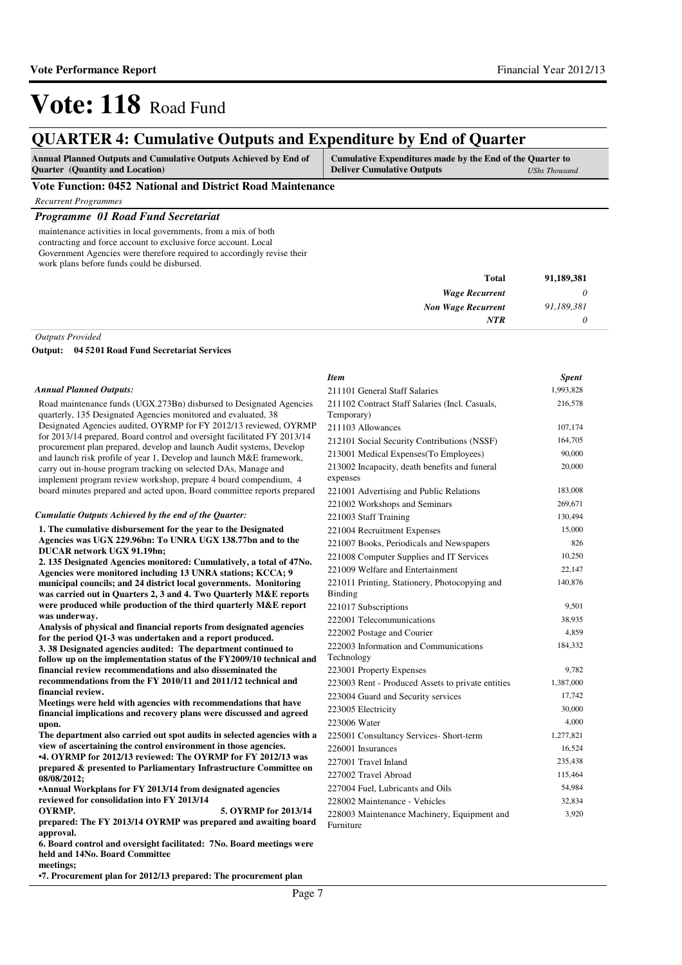## **QUARTER 4: Cumulative Outputs and Expenditure by End of Quarter**

| <b>Annual Planned Outputs and Cumulative Outputs Achieved by End of</b> | Cumulative Expenditures made by the End of the Quarter to |                      |
|-------------------------------------------------------------------------|-----------------------------------------------------------|----------------------|
| <b>Ouarter</b> (Quantity and Location)                                  | <b>Deliver Cumulative Outputs</b>                         | <b>UShs Thousand</b> |

#### **Vote Function: 0452 National and District Road Maintenance**

*Recurrent Programmes*

#### *Programme 01 Road Fund Secretariat*

maintenance activities in local governments, from a mix of both contracting and force account to exclusive force account. Local Government Agencies were therefore required to accordingly revise their work plans before funds could be disbursed.

| 91,189,381 | Total                     |
|------------|---------------------------|
|            | <b>Wage Recurrent</b>     |
| 91,189,381 | <b>Non Wage Recurrent</b> |
|            | NTR                       |

*Outputs Provided*

**04 5201 Road Fund Secretariat Services Output:**

#### *Annual Planned Outputs:*

Road maintenance funds (UGX.273Bn) disbursed to Designated Agencies quarterly, 135 Designated Agencies monitored and evaluated, 38 Designated Agencies audited, OYRMP for FY 2012/13 reviewed, OYRMP for 2013/14 prepared, Board control and oversight facilitated FY 2013/14 procurement plan prepared, develop and launch Audit systems, Develop and launch risk profile of year 1, Develop and launch M&E framework, carry out in-house program tracking on selected DAs, Manage and implement program review workshop, prepare 4 board compendium, 4 board minutes prepared and acted upon, Board committee reports prepared

#### *Cumulatie Outputs Achieved by the end of the Quarter:*

**1. The cumulative disbursement for the year to the Designated Agencies was UGX 229.96bn: To UNRA UGX 138.77bn and to the DUCAR network UGX 91.19bn;** 

**2. 135 Designated Agencies monitored: Cumulatively, a total of 47No. Agencies were monitored including 13 UNRA stations; KCCA; 9 municipal councils; and 24 district local governments. Monitoring was carried out in Quarters 2, 3 and 4. Two Quarterly M&E reports were produced while production of the third quarterly M&E report was underway.**

**Analysis of physical and financial reports from designated agencies for the period Q1-3 was undertaken and a report produced. 3. 38 Designated agencies audited: The department continued to follow up on the implementation status of the FY2009/10 technical and financial review recommendations and also disseminated the recommendations from the FY 2010/11 and 2011/12 technical and financial review.**

**Meetings were held with agencies with recommendations that have financial implications and recovery plans were discussed and agreed upon.**

**The department also carried out spot audits in selected agencies with a view of ascertaining the control environment in those agencies.** 

**•4. OYRMP for 2012/13 reviewed: The OYRMP for FY 2012/13 was prepared & presented to Parliamentary Infrastructure Committee on 08/08/2012;** 

**•Annual Workplans for FY 2013/14 from designated agencies reviewed for consolidation into FY 2013/14** 

**OYRMP. 5. OYRMP for 2013/14 prepared: The FY 2013/14 OYRMP was prepared and awaiting board approval.** 

**6. Board control and oversight facilitated: 7No. B oard meetings were held and 14No. Board Committee** 

**meetings;** 

**•7. Procurement plan for 2012/13 prepared: The procurement plan** 

| <b>Item</b>                                              | <b>Spent</b> |
|----------------------------------------------------------|--------------|
| 211101 General Staff Salaries                            | 1,993,828    |
| 211102 Contract Staff Salaries (Incl. Casuals,           | 216,578      |
| Temporary)                                               |              |
| 211103 Allowances                                        | 107,174      |
| 212101 Social Security Contributions (NSSF)              | 164,705      |
| 213001 Medical Expenses (To Employees)                   | 90,000       |
| 213002 Incapacity, death benefits and funeral            | 20,000       |
| expenses                                                 |              |
| 221001 Advertising and Public Relations                  | 183,008      |
| 221002 Workshops and Seminars                            | 269,671      |
| 221003 Staff Training                                    | 130,494      |
| 221004 Recruitment Expenses                              | 15,000       |
| 221007 Books, Periodicals and Newspapers                 | 826          |
| 221008 Computer Supplies and IT Services                 | 10,250       |
| 221009 Welfare and Entertainment                         | 22,147       |
| 221011 Printing, Stationery, Photocopying and            | 140,876      |
| Binding                                                  |              |
| 221017 Subscriptions                                     | 9,501        |
| 222001 Telecommunications                                | 38,935       |
| 222002 Postage and Courier                               | 4,859        |
| 222003 Information and Communications                    | 184,332      |
| Technology                                               |              |
| 223001 Property Expenses                                 | 9,782        |
| 223003 Rent - Produced Assets to private entities        | 1,387,000    |
| 223004 Guard and Security services                       | 17,742       |
| 223005 Electricity                                       | 30,000       |
| 223006 Water                                             | 4,000        |
| 225001 Consultancy Services- Short-term                  | 1,277,821    |
| 226001 Insurances                                        | 16,524       |
| 227001 Travel Inland                                     | 235,438      |
| 227002 Travel Abroad                                     | 115,464      |
| 227004 Fuel, Lubricants and Oils                         | 54,984       |
| 228002 Maintenance - Vehicles                            | 32,834       |
| 228003 Maintenance Machinery, Equipment and<br>Furniture | 3,920        |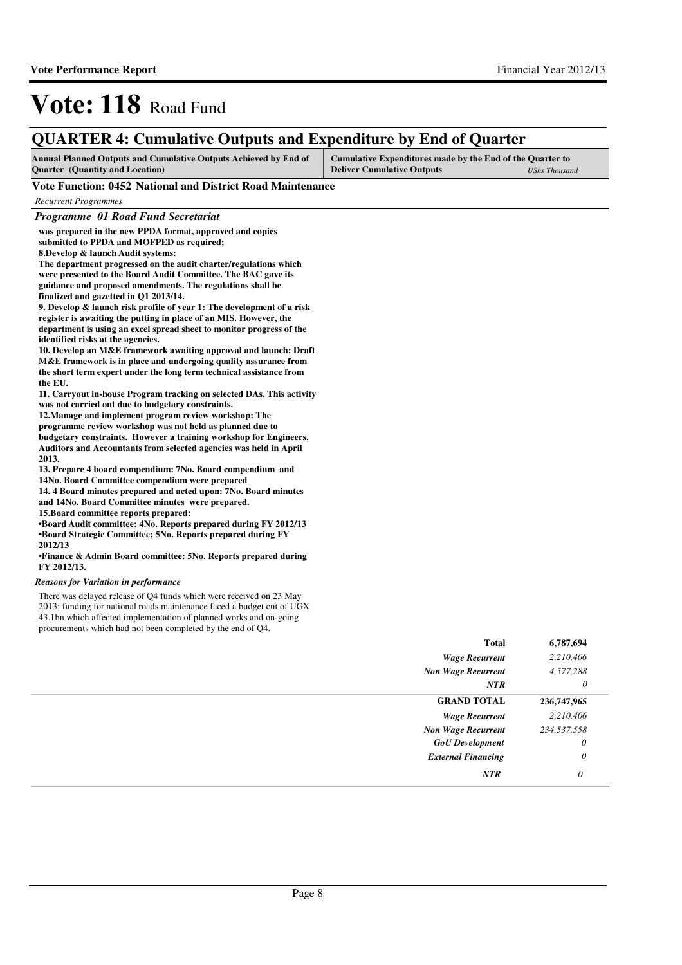# **QUARTER 4: Cumulative Outputs and Expenditure by End of Quarter**

| <b>Annual Planned Outputs and Cumulative Outputs Achieved by End of</b> | Cumulative Expenditures made by the End of the Quarter to |               |
|-------------------------------------------------------------------------|-----------------------------------------------------------|---------------|
| <b>Ouarter</b> (Quantity and Location)                                  | <b>Deliver Cumulative Outputs</b>                         | UShs Thousand |

### **Vote Function: 0452 National and District Road Maintenance**

| Programme 01 Road Fund Secretariat                                                                       |              |         |
|----------------------------------------------------------------------------------------------------------|--------------|---------|
| was prepared in the new PPDA format, approved and copies                                                 |              |         |
| submitted to PPDA and MOFPED as required;                                                                |              |         |
| 8. Develop & launch Audit systems:                                                                       |              |         |
| The department progressed on the audit charter/regulations which                                         |              |         |
| were presented to the Board Audit Committee. The BAC gave its                                            |              |         |
| guidance and proposed amendments. The regulations shall be                                               |              |         |
| finalized and gazetted in Q1 2013/14.                                                                    |              |         |
| 9. Develop & launch risk profile of year 1: The development of a risk                                    |              |         |
| register is awaiting the putting in place of an MIS. However, the                                        |              |         |
| department is using an excel spread sheet to monitor progress of the                                     |              |         |
| identified risks at the agencies.                                                                        |              |         |
| 10. Develop an M&E framework awaiting approval and launch: Draft                                         |              |         |
| M&E framework is in place and undergoing quality assurance from                                          |              |         |
| the short term expert under the long term technical assistance from                                      |              |         |
| the EU.                                                                                                  |              |         |
| 11. Carryout in-house Program tracking on selected DAs. This activity                                    |              |         |
| was not carried out due to budgetary constraints.                                                        |              |         |
| 12. Manage and implement program review workshop: The                                                    |              |         |
| programme review workshop was not held as planned due to                                                 |              |         |
| budgetary constraints. However a training workshop for Engineers,                                        |              |         |
| Auditors and Accountants from selected agencies was held in April                                        |              |         |
| 2013.                                                                                                    |              |         |
| 13. Prepare 4 board compendium: 7No. Board compendium and                                                |              |         |
| 14No. Board Committee compendium were prepared                                                           |              |         |
| 14.4 Board minutes prepared and acted upon: 7No. Board minutes                                           |              |         |
| and 14No. Board Committee minutes were prepared.                                                         |              |         |
| 15. Board committee reports prepared:<br>•Board Audit committee: 4No. Reports prepared during FY 2012/13 |              |         |
| <b>•Board Strategic Committee; 5No. Reports prepared during FY</b>                                       |              |         |
| 2012/13                                                                                                  |              |         |
| •Finance & Admin Board committee: 5No. Reports prepared during                                           |              |         |
| FY 2012/13.                                                                                              |              |         |
|                                                                                                          |              |         |
| <b>Reasons for Variation in performance</b>                                                              |              |         |
| There was delayed release of Q4 funds which were received on 23 May                                      |              |         |
| 2013; funding for national roads maintenance faced a budget cut of UGX                                   |              |         |
| 43.1bn which affected implementation of planned works and on-going                                       |              |         |
| procurements which had not been completed by the end of Q4.                                              |              |         |
|                                                                                                          | <b>Total</b> | 6,787,6 |
|                                                                                                          |              |         |

| <b>Total</b>              | 6,787,694   |
|---------------------------|-------------|
| <b>Wage Recurrent</b>     | 2,210,406   |
| <b>Non Wage Recurrent</b> | 4,577,288   |
| <b>NTR</b>                | 0           |
| <b>GRAND TOTAL</b>        | 236,747,965 |
| <b>Wage Recurrent</b>     | 2,210,406   |
| <b>Non Wage Recurrent</b> | 234,537,558 |
| <b>GoU</b> Development    | $\theta$    |
| <b>External Financing</b> | $\theta$    |
| <b>NTR</b>                | 0           |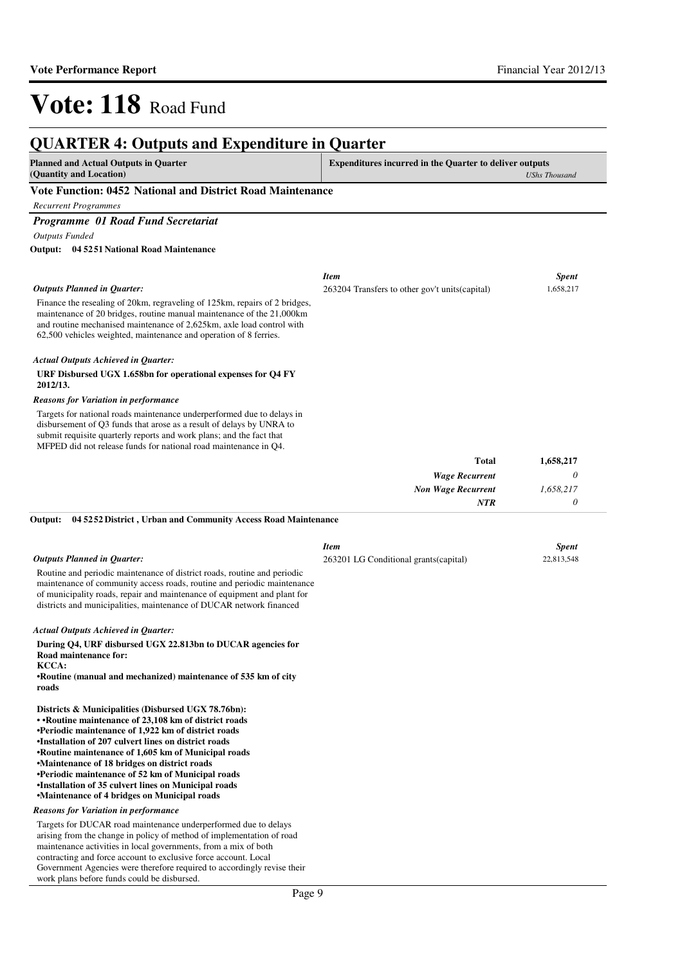| <b>QUARTER 4: Outputs and Expenditure in Quarter</b>                                                                                                                                                                                                                                                   |                                                                |                      |
|--------------------------------------------------------------------------------------------------------------------------------------------------------------------------------------------------------------------------------------------------------------------------------------------------------|----------------------------------------------------------------|----------------------|
| <b>Planned and Actual Outputs in Quarter</b><br>(Quantity and Location)                                                                                                                                                                                                                                | <b>Expenditures incurred in the Quarter to deliver outputs</b> | <b>UShs Thousand</b> |
| Vote Function: 0452 National and District Road Maintenance                                                                                                                                                                                                                                             |                                                                |                      |
| <b>Recurrent Programmes</b>                                                                                                                                                                                                                                                                            |                                                                |                      |
| Programme 01 Road Fund Secretariat                                                                                                                                                                                                                                                                     |                                                                |                      |
| <b>Outputs Funded</b>                                                                                                                                                                                                                                                                                  |                                                                |                      |
| 04 5251 National Road Maintenance<br>Output:                                                                                                                                                                                                                                                           |                                                                |                      |
|                                                                                                                                                                                                                                                                                                        | <b>Item</b>                                                    | <b>Spent</b>         |
| <b>Outputs Planned in Quarter:</b>                                                                                                                                                                                                                                                                     | 263204 Transfers to other gov't units (capital)                | 1,658,217            |
| Finance the resealing of 20km, regraveling of 125km, repairs of 2 bridges,<br>maintenance of 20 bridges, routine manual maintenance of the 21,000km<br>and routine mechanised maintenance of 2,625km, axle load control with<br>62,500 vehicles weighted, maintenance and operation of 8 ferries.      |                                                                |                      |
| <b>Actual Outputs Achieved in Quarter:</b>                                                                                                                                                                                                                                                             |                                                                |                      |
| URF Disbursed UGX 1.658bn for operational expenses for Q4 FY<br>2012/13.                                                                                                                                                                                                                               |                                                                |                      |
| <b>Reasons for Variation in performance</b>                                                                                                                                                                                                                                                            |                                                                |                      |
| Targets for national roads maintenance underperformed due to delays in<br>disbursement of Q3 funds that arose as a result of delays by UNRA to<br>submit requisite quarterly reports and work plans; and the fact that<br>MFPED did not release funds for national road maintenance in Q4.             |                                                                |                      |
|                                                                                                                                                                                                                                                                                                        | Total                                                          | 1,658,217            |
|                                                                                                                                                                                                                                                                                                        | <b>Wage Recurrent</b>                                          | 0                    |
|                                                                                                                                                                                                                                                                                                        | <b>Non Wage Recurrent</b>                                      | 1,658,217            |
|                                                                                                                                                                                                                                                                                                        | NTR                                                            | $\theta$             |
| 04 5252 District, Urban and Community Access Road Maintenance<br>Output:                                                                                                                                                                                                                               |                                                                |                      |
|                                                                                                                                                                                                                                                                                                        | <b>Item</b>                                                    | <b>Spent</b>         |
| <b>Outputs Planned in Quarter:</b>                                                                                                                                                                                                                                                                     | 263201 LG Conditional grants (capital)                         | 22,813,548           |
| Routine and periodic maintenance of district roads, routine and periodic<br>maintenance of community access roads, routine and periodic maintenance<br>of municipality roads, repair and maintenance of equipment and plant for<br>districts and municipalities, maintenance of DUCAR network financed |                                                                |                      |
| <b>Actual Outputs Achieved in Quarter:</b>                                                                                                                                                                                                                                                             |                                                                |                      |
| During Q4, URF disbursed UGX 22.813bn to DUCAR agencies for<br>Road maintenance for:<br>KCCA:                                                                                                                                                                                                          |                                                                |                      |
| •Routine (manual and mechanized) maintenance of 535 km of city<br>roads                                                                                                                                                                                                                                |                                                                |                      |
| Districts & Municipalities (Disbursed UGX 78.76bn):<br>• Routine maintenance of 23,108 km of district roads                                                                                                                                                                                            |                                                                |                      |
| •Periodic maintenance of 1,922 km of district roads<br>•Installation of 207 culvert lines on district roads<br>•Routine maintenance of 1,605 km of Municipal roads                                                                                                                                     |                                                                |                      |
| •Maintenance of 18 bridges on district roads<br>•Periodic maintenance of 52 km of Municipal roads                                                                                                                                                                                                      |                                                                |                      |

**•Installation of 35 culvert lines on Municipal road s**

**•Maintenance of 4 bridges on Municipal roads**

#### *Reasons for Variation in performance*

Targets for DUCAR road maintenance underperformed due to delays arising from the change in policy of method of implementation of road maintenance activities in local governments, from a mix of both contracting and force account to exclusive force account. Local Government Agencies were therefore required to accordingly revise their work plans before funds could be disbursed.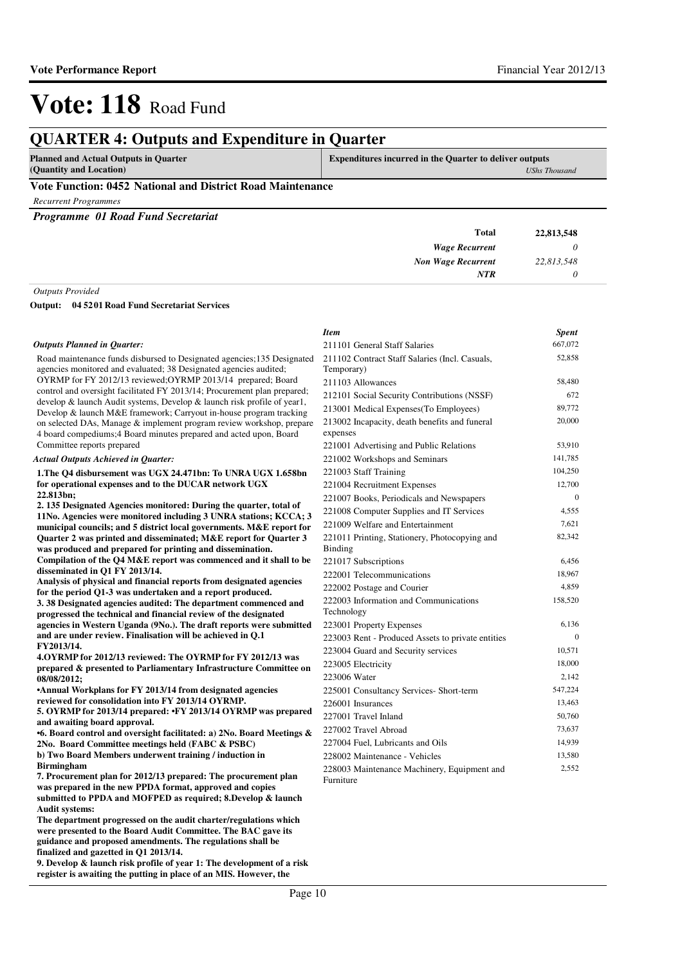### **QUARTER 4: Outputs and Expenditure in Quarter**

**Planned and Actual Outputs in Quarter (Quantity and Location)**

**Expenditures incurred in the Quarter to deliver outputs**  *UShs Thousand*

#### **Vote Function: 0452 National and District Road Maintenance**

*Recurrent Programmes*

*Programme 01 Road Fund Secretariat*

| 22,813,548 | <b>Total</b>              |                                   |
|------------|---------------------------|-----------------------------------|
|            | <b>Wage Recurrent</b>     |                                   |
| 22,813,548 | <b>Non Wage Recurrent</b> |                                   |
|            | <b>NTR</b>                |                                   |
|            | _______                   | and the state of the state of the |

*Outputs Provided*

**04 5201 Road Fund Secretariat Services Output:**

#### *Outputs Planned in Quarter:*

Road maintenance funds disbursed to Designated agencies;135 Designated agencies monitored and evaluated; 38 Designated agencies audited; OYRMP for FY 2012/13 reviewed;OYRMP 2013/14 prepared; Board control and oversight facilitated FY 2013/14; Procurement plan prepared; develop & launch Audit systems, Develop & launch risk profile of year1, Develop & launch M&E framework; Carryout in-house program tracking on selected DAs, Manage & implement program review workshop, prepare 4 board compediums;4 Board minutes prepared and acted upon, Board Committee reports prepared

#### *Actual Outputs Achieved in Quarter:*

**1.The Q4 disbursement was UGX 24.471bn: To UNRA UGX 1.658bn for operational expenses and to the DUCAR network UGX 22.813bn; 2. 135 Designated Agencies monitored: During the quarter, total of** 

**11No. Agencies were monitored including 3 UNRA stations; KCCA; 3 municipal councils; and 5 district local governments. M&E report for Quarter 2 was printed and disseminated; M&E report for Quarter 3 was produced and prepared for printing and dissemination. Compilation of the Q4 M&E report was commenced and it shall to be disseminated in Q1 FY 2013/14.**

**Analysis of physical and financial reports from designated agencies for the period Q1-3 was undertaken and a report produced. 3. 38 Designated agencies audited: The department c ommenced and progressed the technical and financial review of the designated agencies in Western Uganda (9No.). The draft reports were submitted** 

**and are under review. Finalisation will be achieved in Q.1 FY2013/14. 4.OYRMP for 2012/13 reviewed: The OYRMP for FY 2012 /13 was** 

**prepared & presented to Parliamentary Infrastructure Committee on 08/08/2012;** 

**•Annual Workplans for FY 2013/14 from designated agencies reviewed for consolidation into FY 2013/14 OYRMP.** 

**5. OYRMP for 2013/14 prepared: •FY 2013/14 OYRMP wa s prepared** 

**and awaiting board approval. •6. Board control and oversight facilitated: a) 2No . Board Meetings &** 

**2No. Board Committee meetings held (FABC & PSBC) b) Two Board Members underwent training / induction in Birmingham** 

**7. Procurement plan for 2012/13 prepared: The procurement plan was prepared in the new PPDA format, approved and copies**  submitted to PPDA and MOFPED as required; 8. **Develop & launch Audit systems:**

**The department progressed on the audit charter/regulations which were presented to the Board Audit Committee. The BAC gave its guidance and proposed amendments. The regulations shall be finalized and gazetted in Q1 2013/14.**

**9. Develop & launch risk profile of year 1: The development of a risk register is awaiting the putting in place of an MIS. However, the** 

| <b>Item</b>                                       | <b>Spent</b> |
|---------------------------------------------------|--------------|
| 211101 General Staff Salaries                     | 667,072      |
| 211102 Contract Staff Salaries (Incl. Casuals,    | 52,858       |
| Temporary)                                        |              |
| 211103 Allowances                                 | 58,480       |
| 212101 Social Security Contributions (NSSF)       | 672          |
| 213001 Medical Expenses(To Employees)             | 89,772       |
| 213002 Incapacity, death benefits and funeral     | 20,000       |
| expenses                                          |              |
| 221001 Advertising and Public Relations           | 53,910       |
| 221002 Workshops and Seminars                     | 141,785      |
| 221003 Staff Training                             | 104,250      |
| 221004 Recruitment Expenses                       | 12,700       |
| 221007 Books, Periodicals and Newspapers          | $\Omega$     |
| 221008 Computer Supplies and IT Services          | 4,555        |
| 221009 Welfare and Entertainment                  | 7,621        |
| 221011 Printing, Stationery, Photocopying and     | 82,342       |
| Binding                                           |              |
| 221017 Subscriptions                              | 6,456        |
| 222001 Telecommunications                         | 18,967       |
| 222002 Postage and Courier                        | 4,859        |
| 222003 Information and Communications             | 158,520      |
| Technology                                        |              |
| 223001 Property Expenses                          | 6,136        |
| 223003 Rent - Produced Assets to private entities | $\theta$     |
| 223004 Guard and Security services                | 10.571       |
| 223005 Electricity                                | 18,000       |
| 223006 Water                                      | 2,142        |
| 225001 Consultancy Services- Short-term           | 547,224      |
| 226001 Insurances                                 | 13,463       |
| 227001 Travel Inland                              | 50,760       |
| 227002 Travel Abroad                              | 73,637       |
| 227004 Fuel, Lubricants and Oils                  | 14,939       |
| 228002 Maintenance - Vehicles                     | 13,580       |
| 228003 Maintenance Machinery, Equipment and       | 2,552        |
| Furniture                                         |              |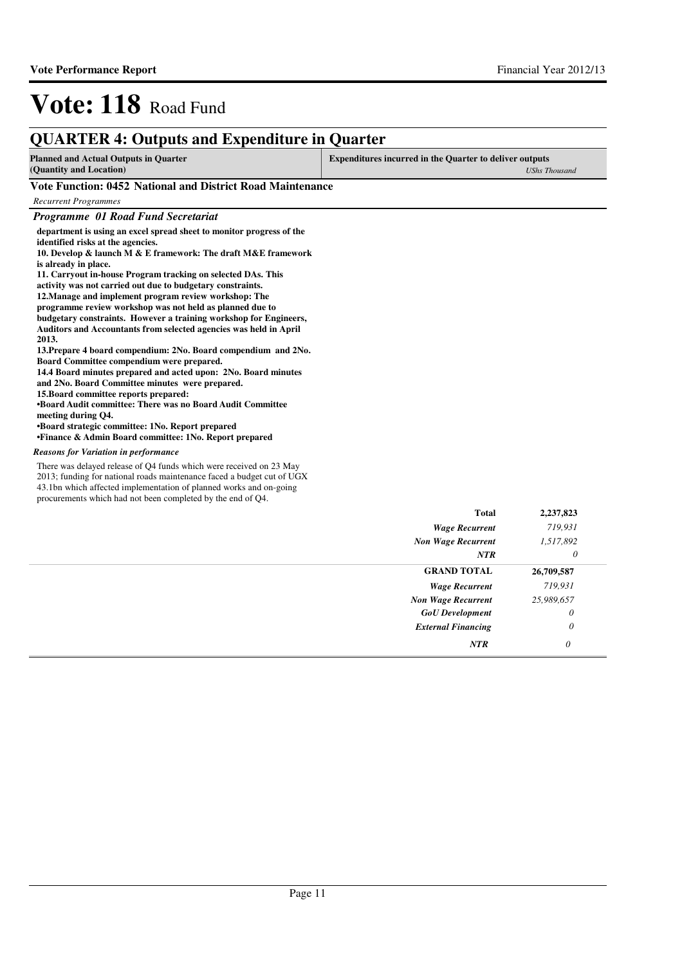| <b>QUARTER 4: Outputs and Expenditure in Quarter</b>                                                                                                                                                                                                                                                                                                                                                                                                                                                                                                                                                                                                                                                                                                                                                                                                                                                                                                                                                                                                                                           |                                                                                        |  |  |
|------------------------------------------------------------------------------------------------------------------------------------------------------------------------------------------------------------------------------------------------------------------------------------------------------------------------------------------------------------------------------------------------------------------------------------------------------------------------------------------------------------------------------------------------------------------------------------------------------------------------------------------------------------------------------------------------------------------------------------------------------------------------------------------------------------------------------------------------------------------------------------------------------------------------------------------------------------------------------------------------------------------------------------------------------------------------------------------------|----------------------------------------------------------------------------------------|--|--|
| <b>Planned and Actual Outputs in Quarter</b><br>(Quantity and Location)                                                                                                                                                                                                                                                                                                                                                                                                                                                                                                                                                                                                                                                                                                                                                                                                                                                                                                                                                                                                                        | <b>Expenditures incurred in the Quarter to deliver outputs</b><br><b>UShs Thousand</b> |  |  |
| Vote Function: 0452 National and District Road Maintenance                                                                                                                                                                                                                                                                                                                                                                                                                                                                                                                                                                                                                                                                                                                                                                                                                                                                                                                                                                                                                                     |                                                                                        |  |  |
| <b>Recurrent Programmes</b>                                                                                                                                                                                                                                                                                                                                                                                                                                                                                                                                                                                                                                                                                                                                                                                                                                                                                                                                                                                                                                                                    |                                                                                        |  |  |
| <b>Programme 01 Road Fund Secretariat</b>                                                                                                                                                                                                                                                                                                                                                                                                                                                                                                                                                                                                                                                                                                                                                                                                                                                                                                                                                                                                                                                      |                                                                                        |  |  |
| department is using an excel spread sheet to monitor progress of the<br>identified risks at the agencies.<br>10. Develop & launch M & E framework: The draft M&E framework<br>is already in place.<br>11. Carryout in-house Program tracking on selected DAs. This<br>activity was not carried out due to budgetary constraints.<br>12. Manage and implement program review workshop: The<br>programme review workshop was not held as planned due to<br>budgetary constraints. However a training workshop for Engineers,<br>Auditors and Accountants from selected agencies was held in April<br>2013.<br>13. Prepare 4 board compendium: 2No. Board compendium and 2No.<br>Board Committee compendium were prepared.<br>14.4 Board minutes prepared and acted upon: 2No. Board minutes<br>and 2No. Board Committee minutes were prepared.<br>15. Board committee reports prepared:<br><b>•Board Audit committee: There was no Board Audit Committee</b><br>meeting during Q4.<br>•Board strategic committee: 1No. Report prepared<br>•Finance & Admin Board committee: 1No. Report prepared |                                                                                        |  |  |
| <b>Reasons for Variation in performance</b>                                                                                                                                                                                                                                                                                                                                                                                                                                                                                                                                                                                                                                                                                                                                                                                                                                                                                                                                                                                                                                                    |                                                                                        |  |  |
| There was delayed release of Q4 funds which were received on 23 May<br>2013; funding for national roads maintenance faced a budget cut of UGX<br>43.1bn which affected implementation of planned works and on-going<br>procurements which had not been completed by the end of Q4.                                                                                                                                                                                                                                                                                                                                                                                                                                                                                                                                                                                                                                                                                                                                                                                                             |                                                                                        |  |  |

|                           | Total                 | 2,237,823  |
|---------------------------|-----------------------|------------|
|                           | <b>Wage Recurrent</b> | 719,931    |
| <b>Non Wage Recurrent</b> |                       | 1,517,892  |
|                           | <b>NTR</b>            | 0          |
|                           | <b>GRAND TOTAL</b>    | 26,709,587 |
|                           | <b>Wage Recurrent</b> | 719,931    |
| <b>Non Wage Recurrent</b> |                       | 25,989,657 |
| <b>GoU</b> Development    |                       | $\theta$   |
| <b>External Financing</b> |                       | $\theta$   |
|                           | NTR                   | $\theta$   |